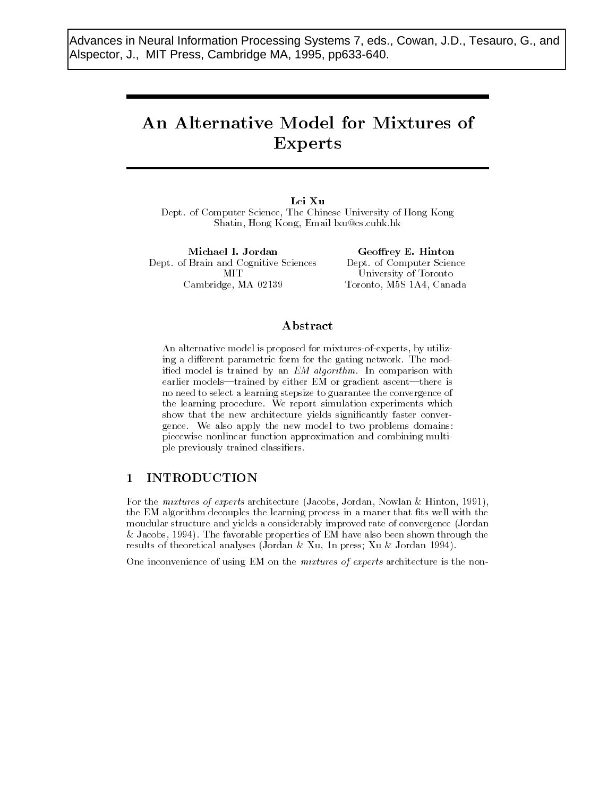Advances in Neural Information Processing Systems 7, eds., Cowan, J.D., Tesauro, G., and Alspector, J., MIT Press, Cambridge MA, 1995, pp633-640.

# An Alternative Model for Mixtures of Experts

Lei Xu Dept of Computer Science- The Chinese University of Hong Kong Shatin- Hong Kong- Email lxucscuhkhk

Michael I. Jordan Dept. of Brain and Cognitive Sciences **MIT** Cambridge-Cambridge-Cambridge-Cambridge-Cambridge-Cambridge-Cambridge-Cambridge-Cambridge-Cambridge-Cambridge-

 $G$ . Dept. of Computer Science University of Toronto Toronto-American and Maria and Maria and Maria and Maria and Maria and Maria and Maria and Maria and Maria and

### Abstract

An alternative model is proposed for mixturesofexperts- by utiliz ing a different parametric form for the gating network. The modified model is trained by an EM algorithm. In comparison with earlier models—trained by either EM or gradient ascent—there is no need to select a learning stepsize to guarantee the convergence of the learning procedure. We report simulation experiments which show that the new architecture yields signi
cantly faster conver gence. We also apply the new model to two problems domains: piecewise nonlinear function approximation and combining multi ple previously trained classi
ers

## INTRODUCTION

For the mixtures of experts architecture (Jacobs, Jordan, Fowlan & Hinton, 1991), the EM algorithm decouples the learning process in a maner that fits well with the moudular structure and yields a considerably improved rate of convergence Jordan , we also favorable properties of EM have also been shown through the contract of EM have a shown through the c results of theoretical analyses journalist from press, for the community  $\mathcal{L}_{\mathcal{A}}$ 

One inconvenience of using EM on the *mixtures of experts* architecture is the non-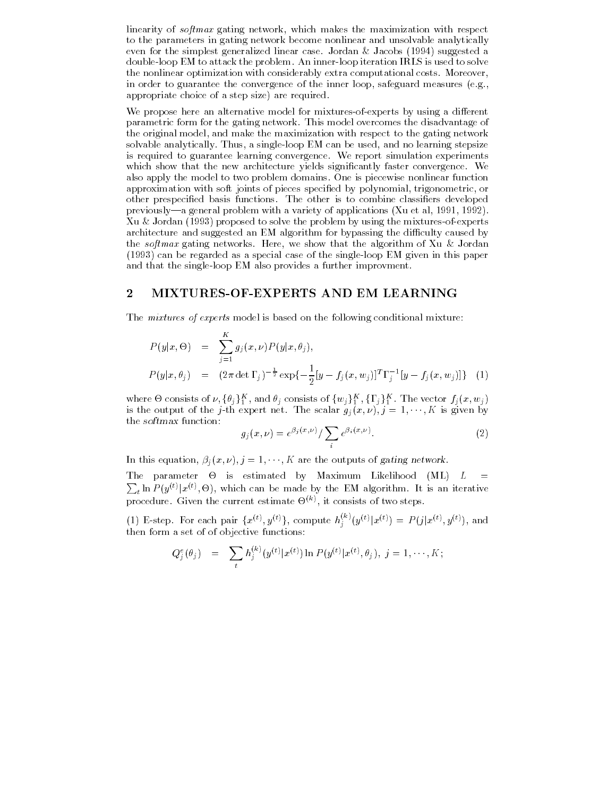incomity of softmax goting nettron with mitter makes the mithing within with respect to the parameters in gating network become nonlinear and unsolvable analytically even for the simplest generalized linear case Jordan Jacobs suggested a double-loop EM to attack the problem. An inner-loop iteration IRLS is used to solve the nonlinear optimization with considerably extra computational costs. Moreover, in order to guarantee the convergence of the inner loop- safeguard measures egappropriate choice of a step size) are required.

We propose here an alternative model for mixtures-of-experts by using a different parametric form for the gating network This model overcomes the disadvantage of the original model- and make the maximization with respect to the gating network solvable analytically Thus-Allen analytically Thus-Allen and and no learning stepsize the usedis required to guarantee learning convergence We report simulation experiments which show that the new architecture yields significantly faster convergence. We also apply the model to two problem domains One is piecewise nonlinear function approximation with soft joints of pieces speci
ed by polynomial- trigonometric- or other prespeci
ed basis functions The other is to combine classi
ers developed previouslya general problem with a variety of applications Xu et al- - Xu  $\&$  Jordan (1993) proposed to solve the problem by using the mixtures-of-experts architecture and suggested an EM algorithm for bypassing the difficulty caused by the softmax gotting here-tends Here-J we show that the algorithm of Ira to Servan  $(1993)$  can be regarded as a special case of the single-loop EM given in this paper and that the single-loop EM also provides a further improvment.

#### $\bf{2}$ MIXTURES-OF-EXPERTS AND EM LEARNING

The *mixtures of experts* model is based on the following conditional mixture:

$$
P(y|x, \Theta) = \sum_{j=1}^{K} g_j(x, \nu) P(y|x, \theta_j),
$$
  
\n
$$
P(y|x, \theta_j) = (2\pi \det \Gamma_j)^{-\frac{1}{2}} \exp\{-\frac{1}{2}[y - f_j(x, w_j)]^T \Gamma_j^{-1} [y - f_j(x, w_j)]\}
$$
 (1)

where  $\Theta$  consists of  $\nu, \{\theta_j\}_1^K$  , and  $\theta_j$  consists of  $\{w_j\}_1^K$  ,  $\{\Gamma_j\}_1^K$  . The vector  $f_j(x, w_j)$ is the output of the *j*-th expert net. The scalar  $g_j(x, \nu), j = 1, \dots, K$  is given by the softmax function

$$
g_j(x,\nu) = e^{\beta_j(x,\nu)} / \sum_i e^{\beta_i(x,\nu)}.
$$
\n<sup>(2)</sup>

In this equation,  $\rho_j(x, \nu)$ ,  $j = 1, \dots, n$  are the outputs of gating network.

the parameter of the continuous by maximum minimum (mm) is a  $\sum_{t} \ln P(y^{(t)}|x^{(t)},\Theta)$ , which can be made by the EM algorithm. It is an iterative procedure. Given the current estimate  $\Theta^{(k)}$ , it consists of two steps.

(1) E-step. For each pair  $\{x^{(t)}, y^{(t)}\}$ , compute  $h_j^{(k)}(y^{(t)}|x^{(t)}) = P(j|x^{(t)}, y^{(t)})$ , and then form a set of of objective functions

$$
Q_j^e(\theta_j) = \sum_t h_j^{(k)}(y^{(t)}|x^{(t)}) \ln P(y^{(t)}|x^{(t)}, \theta_j), \ j = 1, \cdots, K;
$$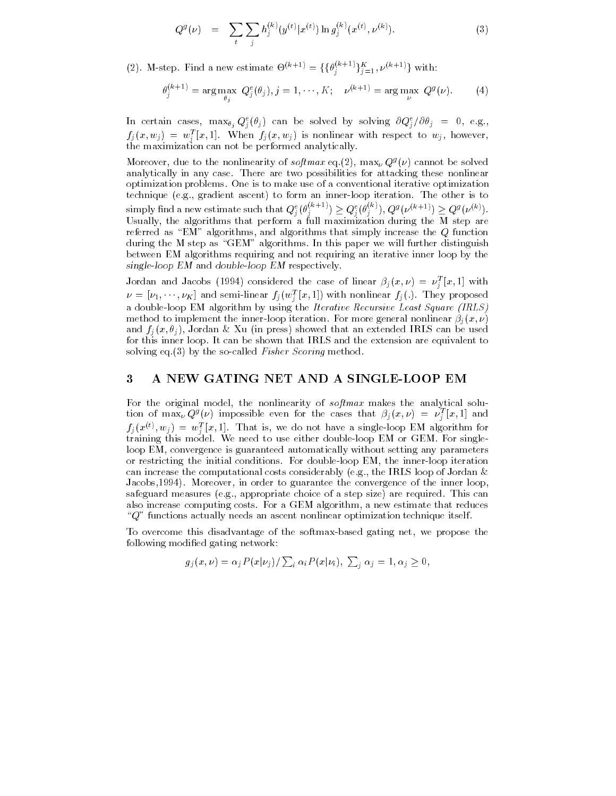$$
Q^g(\nu) = \sum_{t} \sum_{j} h_j^{(k)}(y^{(t)} | x^{(t)}) \ln g_j^{(k)}(x^{(t)}, \nu^{(k)}).
$$
 (3)

(2). M-step. Find a new estimate  $\Theta^{(k+1)} = {\{\theta_i^{(k+1)}\}}_{i=1}^K$ ,  $\nu^{(k+1)}$  with:

$$
\theta_j^{(k+1)} = \arg \max_{\theta_j} \ Q_j^e(\theta_j), j = 1, \cdots, K; \quad \nu^{(k+1)} = \arg \max_{\nu} \ Q^g(\nu). \tag{4}
$$

In certain cases,  $\max_{\theta_j} Q_j^*(\theta_j)$  can be solved by solving  $\partial Q_j^*/\partial \theta_j = 0$ , e.g.,  $f_j(x,w_j) = w_j^{\ast} [x,1]$ . When  $f_j(x,w_j)$  is nonlinear with respect to  $w_j$ , however, the maximization can not be performed analytically  $\sim$ 

Moreover, que to the nonlinearity of  $\mathit{softmax}$  eq.(2),  $\max_{\nu} Q^{\nu}(\nu)$  cannot be solved analytically in any case. There are two possibilities for attacking these nonlinear optimization problems One is to make use of a conventional iterative optimization technique eg- gradient ascent to form an innerloop iteration The other is to simply find a new estimate such that  $Q_i^e(\theta_i^{(n+1)}) \geq Q_i^e(\theta_i^{(n)})$ ,  $(q^{(n)})$ ,  $Q^g(\nu^{(k+1)}) \geq Q^g(\nu^{(k)})$ .  $U$ sually-that performance that perform a full maximization during the M step are  $U$ referred as EMI algorithms- and algorithms that the algorithms that  $\mathcal{L}_{\mathcal{A}}$ during the M step as "GEM" algorithms. In this paper we will further distinguish between EM algorithms requiring and not requiring an iterative inner loop by the single-loop EM and double-loop EM respectively.

Jordan and Jacobs (1994) considered the case of linear  $\beta_j(x,\nu)\ =\ \nu_j^{\ast}\left[x,1\right]$  with  $\nu = [\nu_1, \cdots, \nu_K]$  and semi-linear  $J_j(w_j^*[x, 1])$  with nonlinear  $J_j(.)$ . They proposed a double-loop EM algorithm by using the Iterative Recursive Least Square (IRLS) method to implement the inner-loop iteration. For more general nonlinear  $\varphi_i(x,\nu)$ and  $f_1(x, v_1)$ , Jordan  $\alpha$  Au (in press) showed that an extended fitus can be used for this inner loop It can be shown that IRLS and the extension are equivalent to solving eq. (3) by the so-called Fisher Scoring method.

#### A NEW GATING NET AND A SINGLELOOP EM

For the original model- the nonlinearity of softmax makes the analytical solu tion of  $\max_{\nu} Q^g(\nu)$  impossible even for the cases that  $\beta_j(x,\nu) = \nu_j^*[x,1]$  and  $f_i(x^{\vee \vee}, w_j) = w_i^* |x, 1|$ . That is, we do not have a single-loop EM algorithm for j training this model We need to use either doubleloop EM or GEM For single loop EM- convergence is guaranteed automatically without setting any parameters or restricting the initial conditions For doubleloop EM- the innerloop iteration can increase the computational costs considerably eg- the IRLS loop of Jordan Jacobs- Moreover- in order to guarantee the convergence of the inner loopsafeguard measures ege appropriate chairs are not an step and the position that can also increases computing costs For a computing algorithm- a new extensive that reduces  $Q^{\prime\prime}$  functions actually needs an ascent nonlinear optimization technique itself.

To overcome this disadvantage of the softmaxbased gating net- we propose the following modified gating network:

$$
g_j(x,\nu) = \alpha_j P(x|\nu_j) / \sum_i \alpha_i P(x|\nu_i), \sum_i \alpha_j = 1, \alpha_j \ge 0,
$$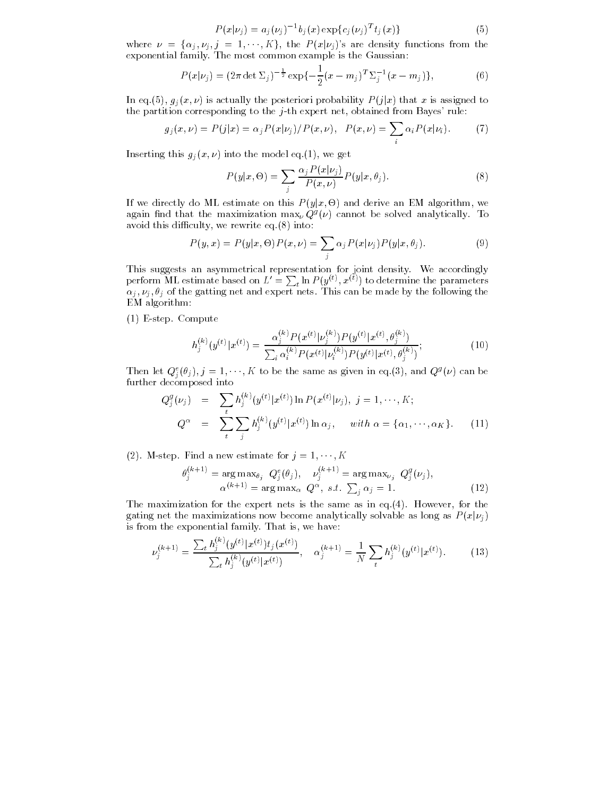$$
P(x|\nu_j) = a_j(\nu_j)^{-1} b_j(x) \exp\{c_j(\nu_j)^T t_j(x)\}
$$
\n(5)

where  $\nu = {\alpha_j, \nu_j, j = 1, \cdots, K}$ , the  $P(x|\nu_j)$ 's are density functions from the exponential family. The most common example is the Gaussian:

$$
P(x|\nu_j) = (2\pi \det \Sigma_j)^{-\frac{1}{2}} \exp\{-\frac{1}{2}(x-m_j)^T \Sigma_j^{-1}(x-m_j)\},\tag{6}
$$

In eq.(5),  $g_j(x,\nu)$  is actually the posteriori probability  $P(j|x)$  that x is assigned to the partition corresponding to the j th expert net-columna from Bayes rule.

$$
g_j(x,\nu) = P(j|x) = \alpha_j P(x|\nu_j)/P(x,\nu), \quad P(x,\nu) = \sum_i \alpha_i P(x|\nu_i). \tag{7}
$$

 $\max_{\{y_i\}} \max_{y_i \in \mathcal{Y}} \max_{y_i \in \mathcal{Y}} \max_{y_i \in \mathcal{Y}} \min_{y_i \in \mathcal{Y}} \max_{y_i \in \mathcal{Y}} \min_{y_i \in \mathcal{Y}} \min_{y_i \in \mathcal{Y}} \min_{y_i \in \mathcal{Y}} \min_{y_i \in \mathcal{Y}} \min_{y_i \in \mathcal{Y}} \min_{y_i \in \mathcal{Y}} \min_{y_i \in \mathcal{Y}} \min_{y_i \in \mathcal{Y}} \min_{y_i \in \mathcal{Y}} \min_{y_i \in \mathcal{Y}} \min_{y_i \in \mathcal{Y}} \min_{$ 

$$
P(y|x,\Theta) = \sum_{j} \frac{\alpha_j P(x|\nu_j)}{P(x,\nu)} P(y|x,\theta_j).
$$
 (8)

If we directly do ML estimate on this  $P(y|x, \Theta)$  and derive an EM algorithm, we again find that the maximization  $\max_\nu Q^s(\nu)$  cannot be solved analytically. To avoid the this discussed the contracts of  $\mathcal{C}$  and  $\mathcal{C}$ 

$$
P(y,x) = P(y|x,\Theta)P(x,\nu) = \sum_{j} \alpha_j P(x|\nu_j) P(y|x,\theta_j).
$$
\n(9)

perform ML estimate based on  $L' = \sum_t \ln P(y^{(t)}, x^{(t)})$  to determine the parameters  $\alpha_j, \nu_j, \sigma_j$  of the gatting net and expert nets. This can be made by the following the EM algorithm

(1) E-step. Compute

$$
h_j^{(k)}(y^{(t)}|x^{(t)}) = \frac{\alpha_j^{(k)} P(x^{(t)}|\nu_j^{(k)}) P(y^{(t)}|x^{(t)}, \theta_j^{(k)})}{\sum_i \alpha_i^{(k)} P(x^{(t)}|\nu_i^{(k)}) P(y^{(t)}|x^{(t)}, \theta_j^{(k)})};
$$
(10)

Then let  $Q_i^s(\theta_j), j = 1, \cdots, K$  to be the same as given in eq. (3), and  $Q^s(\nu)$  can be  $\sim$ further decomposed into the composed into the composed into the composed into the composed into the composed i

$$
Q_j^g(\nu_j) = \sum_t h_j^{(k)}(y^{(t)} | x^{(t)}) \ln P(x^{(t)} | \nu_j), \ j = 1, \cdots, K; Q^{\alpha} = \sum_t \sum_j h_j^{(k)}(y^{(t)} | x^{(t)}) \ln \alpha_j, \quad \text{with } \alpha = \{\alpha_1, \cdots, \alpha_K\}. \tag{11}
$$

 $(z)$ . M-step. Find a new estimate for  $j = 1, \dots, K$ 

$$
\theta_j^{(k+1)} = \arg \max_{\theta_j} Q_j^e(\theta_j), \quad \nu_j^{(k+1)} = \arg \max_{\nu_j} Q_j^g(\nu_j),
$$
  

$$
\alpha^{(k+1)} = \arg \max_{\alpha} Q_{\alpha, s.t.} \sum_j \alpha_j = 1.
$$
 (12)

The maximization for the expert nets is the same as in equation for the same as in equation for the same as in equation for the same as in equation for the same as in equation for the same as in equation for the same as i gating net the maximizations now become analytically solvable as long as  $P(x|\nu_j)$ is from the exponential family That is from the exponential family That is exponential family That is exponential family That is exponential family That is exponential family That is exponential family That is exponential

$$
\nu_j^{(k+1)} = \frac{\sum_t h_j^{(k)}(y^{(t)} | x^{(t)}) t_j(x^{(t)})}{\sum_t h_j^{(k)}(y^{(t)} | x^{(t)})}, \quad \alpha_j^{(k+1)} = \frac{1}{N} \sum_t h_j^{(k)}(y^{(t)} | x^{(t)})
$$
(13)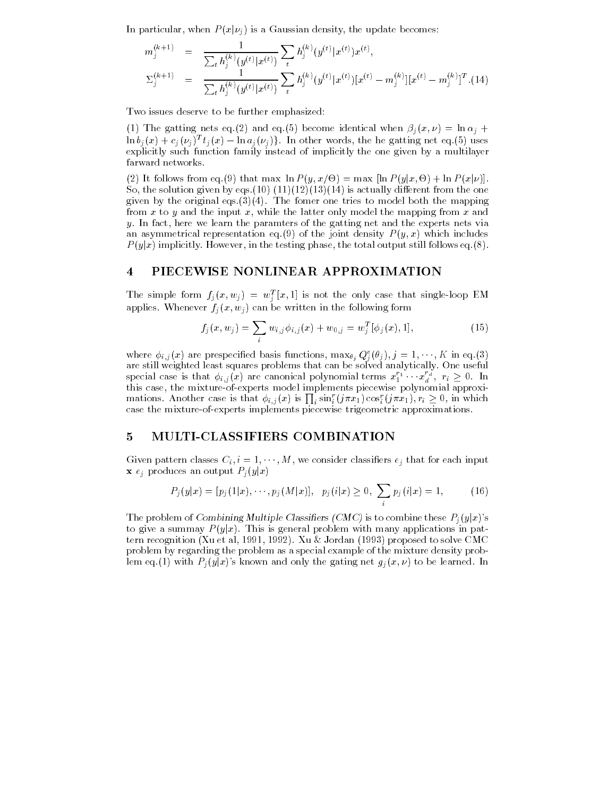In particular, when  $P(x|\nu_j)$  is a Gaussian density, the update becomes:

$$
m_j^{(k+1)} = \frac{1}{\sum_t h_j^{(k)}(y^{(t)}|x^{(t)})} \sum_t h_j^{(k)}(y^{(t)}|x^{(t)}) x^{(t)},
$$
  

$$
\Sigma_j^{(k+1)} = \frac{1}{\sum_t h_j^{(k)}(y^{(t)}|x^{(t)})} \sum_t h_j^{(k)}(y^{(t)}|x^{(t)}) [x^{(t)} - m_j^{(k)}][x^{(t)} - m_j^{(k)}]^T
$$
. (14)

Two issues deserve to be further emphasized

(1) The gatting nets eq.(2) and eq.(9) become identical when  $p_i(x, \nu) = \ln \alpha_i + \nu_i$  $\ln b_j(x) + c_j(\nu_j)^T t_j(x) - \ln a_j(\nu_j)$ . In other words, the he gatting net eq. (5) uses explicitly such function family instead of implicitly the one given by a multilayer

(2) It follows from eq. (9) that max  $\ln P(y, x/\Theta) = \max [\ln P(y|x, \Theta) + \ln P(x|\nu)].$ So- the solution given by eqs is actually dierent from the one given by the original equipment one trime the model both the model both the model  $\mu$ from xto <sup>y</sup> and the input x- while the latter only model the mapping from xand y, in fact, here we fourn the paramters of the gatting net and the experts neutral an asymmetrical representation eq. (9) of the joint density  $P(y, x)$  which includes  $P(y|x)$  implicitly. However, in the testing phase, the total output still follows eq.(8).

### PIECEWISE NONLINEAR APPROXIMATION

The simple form  $f_j(x, w_j) = w_j^*(x, 1)$  is not the only case that single-loop EM applies. Whenever  $f_i(x, w_j)$  can be written in the following form

$$
f_j(x, w_j) = \sum_i w_{i,j} \phi_{i,j}(x) + w_{0,j} = w_j^T[\phi_j(x), 1],
$$
\n(15)

where  $\varphi_{i,j}(x)$  are prespecified basis functions,  $\max_{\theta_j} Q_j^*(\theta_j), j = 1, \dots, K$  in eq.(3) are still weighted least squares problems that can be solved analytically One useful special case is that  $\phi_{i,j}(x)$  are canonical polynomial terms  $x_1^{r_1} \cdots x_d^{r_d}$ ,  $r_i \geq 0$ . In this case, the mixture-of-experts model implements piecewise polynomial approximations. Another case is that  $\phi_{i,j}(x)$  is  $\prod_i \sin_i^r(j\pi x_1)\cos_i^r(j\pi x_1), r_i \geq 0$ , in which icase the mixture-of-experts implements piecewise trigeometric approximations.

### 5 MULTI-CLASSIFIERS COMBINATION

Given pattern classes  $\cup_i, i = 1, \cdots, m$ , we consider classifiers  $e_i$  that for each input **x**  $e_j$  produces an output  $P_j(y|x)$ 

$$
P_j(y|x) = [p_j(1|x), \cdots, p_j(M|x)], \quad p_j(i|x) \ge 0, \ \sum_i p_j(i|x) = 1,\tag{16}
$$

The problem of Combining Multiple Classifiers (CMC) is to combine these  $P_j(y|x)$ 's to give a summay  $P(y|x)$ . This is general problem with many applications in pattern recognition Xu et al- - Xu Jordan proposed to solve CMC problem by regarding the problem as a special example of the mixture density prob lem eq.(1) with  $P_j(y|x)$ 's known and only the gating net  $g_j(x,\nu)$  to be learned. In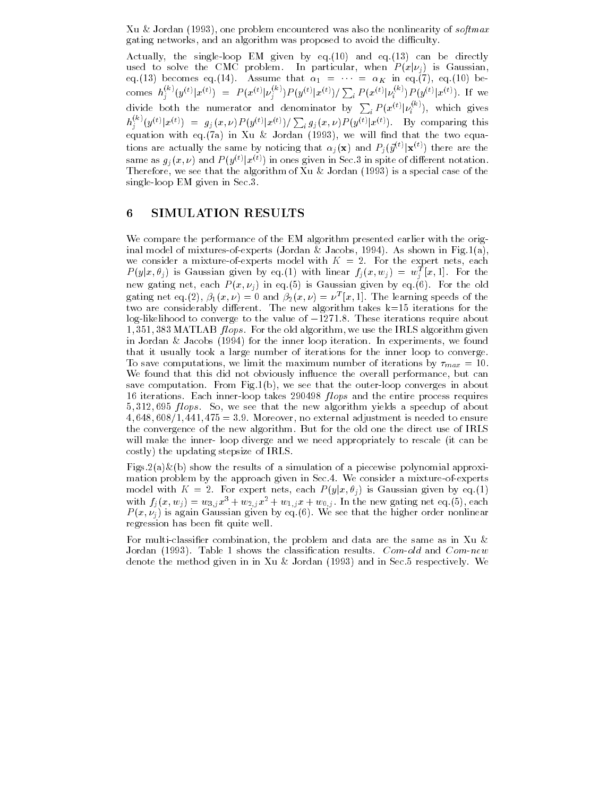$\mathbf{x}$ u oo belawaa (1999) one problem cheedaneeddu was also heliniicarity of software. gating networks-proposed the digestimate that proposed to avoid the distribution  $\mathcal{G}$ 

Actually- the singleloop EM given by eq and eq can be directly used to solve the CMC problem. In particular, when  $P(x|\nu)$ j is Gaussian- $\alpha$  (see ) becomes eq.(14). Assume that  $\alpha_1 = \cdots = \alpha_K$  in eq.(1), eq.(10) becomes  $h^{\vee\vee}(u)$  $j^{(k)}(y^{(t)}|x^{(t)}) = P(x^{(t)}|\nu_i^{(k)})P$  $\sum_{i}^{\infty} P(y^{(t)}|x^{(t)}) / \sum_{i} P(x^{(t)}|\nu_i^{(k)})P_i$  $i^{(k)}$   $P(y^{(t)}|x^{(t)})$ . If we divide both the numerator and denominator by  $\sum_{i} P(x^{(t)} | \nu_i^{(N)})$ , which gives  $h_i^{(k)}(y^{(t)}|x^{(t)}) = g_j(x,\nu)P(y^{(t)}|x^{(t)}) / \sum_i g_j(x,\nu)P(y^{(t)}|x^{(t)})$ . By comparing this equation with equation in Xu international and the that the two equations of the two equations of the two equations tions are actually the same by noticing that  $\alpha_j(\mathbf{x})$  and  $P_j(\vec{y}^{(t)}|\mathbf{x}^{(t)})$  there are the same as  $g_j(x,\nu)$  and  $P(y^{(t)}|x^{(t)})$  in ones given in Sec.3 in spite of different notation. - we see that the algorithm of the algorithm of the algorithm  $\alpha$  is a special case of the  $\alpha$ single-loop EM given in Sec.  $3$ .

#### SIMULATION RESULTS

We compare the performance of the EM algorithm presented earlier with the original model of mixtures Jordan Jacobs-Jordan Jacobs-Jordan Jacobs-Jordan Jacobs-Jordan Jacobs-Jordan Jacobswe consider a mixture of diploted model with  $\mathbf{r}$   $\mathbf{r}$  at  $\mathbf{r}$  and diplote network called  $P(y|x, \theta_j)$  is Gaussian given by eq.(1) with linear  $f_j(x, w_j) = w_j^T[x, 1]$ . For the  $\limsup$  gating net, each  $I$  ( $v, V_{\ell}$ ) in eq.(b) is claussian given by eq.(b). For the old gating net eq.(2),  $p_1(x, \nu) = 0$  and  $p_2(x, \nu) = \nu^* |x, 1|$ . The learning speeds of the two are considerably different. The new algorithm takes  $k=15$  iterations for the log-likelihood to converge to the value of  $-1271.8$ . These iterations require about **1**, 991, 909 MATLAD *Julys*. For the old algorithm, we use the Irtho algorithm given in Jordan in Jordan (2001), we find induce the protection in the infrastruction in experiments of the internati that it usually took a large number of iterations for the inner loop to converge To save computations- we make the maximum number of iterations by  $\eta_{RR}$  and  $\tau$ We found that this did not obviously in this did not obviously in the overall performancesave computation From Fighting converges in about the outer in apostom converges in about the to nerations. Bach inner-loop takes 200400 *ftops* and the entire process requires  $\theta$ ,  $\theta$ 12,  $\theta$ 39  $\mu$ 0 $p$ s.  $\theta$ 0, we see that the new algorithm yields a speedup of about et a radio adjustment is not a second the and the more maintenant is modern to ensure the convergence of the new algorithm. But for the old one the direct use of IRLS will make the inner-loop diverge and we need appropriately to rescale (it can be costly) the updating stepsize of IRLS.

Figs.  $2(a) \& (b)$  show the results of a simulation of a piecewise polynomial approximation problem by the approach given in Section in Section a mixture a mixture of  $\sim$ model with  $K = 2$ . For expert nets, each  $P(y|x, \theta_i)$  is Gaussian given by eq.(1) with  $f_i(x, w_i) = w_{3,i}x^* + w_{2,i}x^* + w_{1,i}x + w_{0,i}$ . In the new gating net eq. (5), each  $I$  ( $v, \nu_{\gamma}$ ) is again Gaussian given by eq. (b). We see that the higher order nonlinear regression has been fit quite well.

For multiclassi
er combination- the problem and data are the same as in Xu Jordan (1993). Table 1 shows the classification results.  $Com-old$  and  $Com-new$ denote the method given in in Xu & Jordan  $(1993)$  and in Sec.5 respectively. We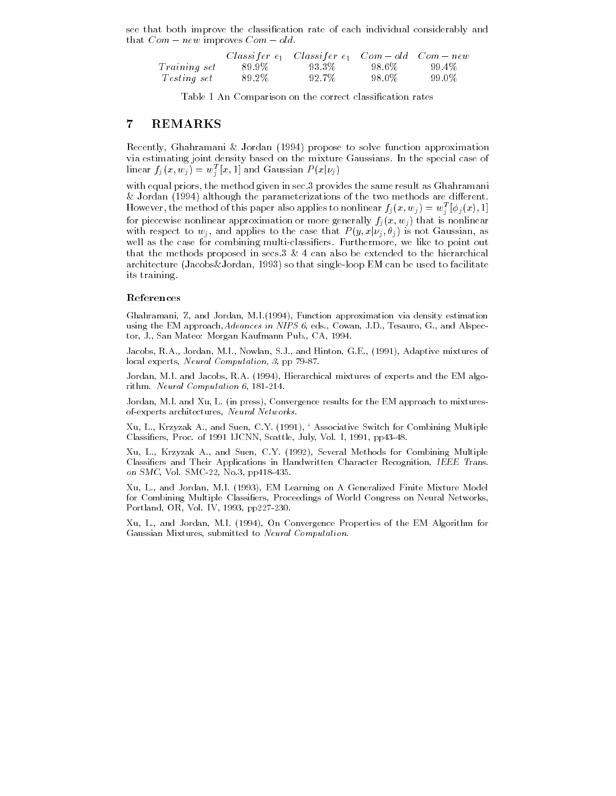see that both improve the classi
cation rate of each individual considerably and that  $Com - new$  improves  $Com - old$ .

|                     |        | Classifer $e_1$ Classifer $e_1$ Com – old Com – new |        |        |  |
|---------------------|--------|-----------------------------------------------------|--------|--------|--|
| <i>Training set</i> | -89.9% | 93.3%                                               | -98.6% | -99.4% |  |
| <i>Testing set</i>  | 89.2%  | 92.7%                                               | -98.0% | -99.0% |  |

Table 1 An Comparison on the correct classification rates

#### REMARKS

recently- Ghamani Santa Corporation (1966), has been to solve function approximation and via estimating joint density based on the mixture Gaussians In the special case of linear  $f_j(x, w_j) = w_j^T[x, 1]$  and Gaussian  $P(x | \nu_j)$ 

with equal priors-method given in sec priors-method given in sec provides the same result as Ghahramanian second volver although the parameterizations of the two methods are distinct that the two methods are distinct that t However, the method of this paper also applies to nonlinear  $J_j(x, w_j) = w_j^{\scriptscriptstyle +} \left[ \varphi_j(x), 1 \right]$ for piecewise nonlinear approximation or more generally  $f_i(x, w_j)$  that is nonlinear with respect to  $w_j$ , and applies to the case that  $P(y, x | \nu_j, \theta_j)$  is not Gaussian, as well as the case for combining multiclassic multiclassic multiplassic multiplassic multiplassic multiplassic m that the methods proposed in secs can also be extended to the hierarchical architecture Jacobs Jacobs Jordan, and singleloop Em can be used to facilitate to facilitate to facilitate to its training

#### References

ghahramani Z and Jordan M-2 and Jordan M-2 and Jordan M-2 and Jordan M-2 and M-2 and M-2 and M-2 and M-2 and M using the EM approachadvances in NIPS in NIPS in NIPS in NIPS in NIPS in NIPS in NIPS in NIPS in NIPS in NIPS i tor, i., and matter, which gain that more are a during the first of

Jacobs R-A- Jordan M-I- Nowlan S-J- and Hinton G-E- Adaptive mixtures of local experts Neural Computation- pp -

Jordan M-I- and Jacobs R-A- Hierarchical mixtures of experts and the EM algo rithm-computation in the computation of the computation of the computation of the computation of the computation of the computation of the computation of the computation of the computation of the computation of the computa

Jordan M-I- and Xu L- in press Convergence results for the EM approach to mixtures of-experts architectures,  $\it Neural\; Networks.$ 

xu L- and Suen C- and Suen C- and Suen C- and Suen C- and Support C- and Support C- and Support C- and Support classification of the Classical Classical Classical Classical Classical Process Classical Classical Classical

are and survey are and such a several model of the compiler and the compilement of the second model of the second Classifiers and Their Applications in Handwritten Character Recognition, IEEE Trans. on smc, for smc se, riologyptic ios.

.... and we are more finite for all and a contentry on a contentrate a content on a general  $\sim$ for Combining Multiple Classifiers, Proceedings of World Congress on Neural Networks, rested and the portland or the portland or the portland or the portland or the position of the position of the

Xu L- and Jordan M-I- On Convergence Properties of the EM Algorithm for Gaussian Mixtures, submitted to Neural Computation.